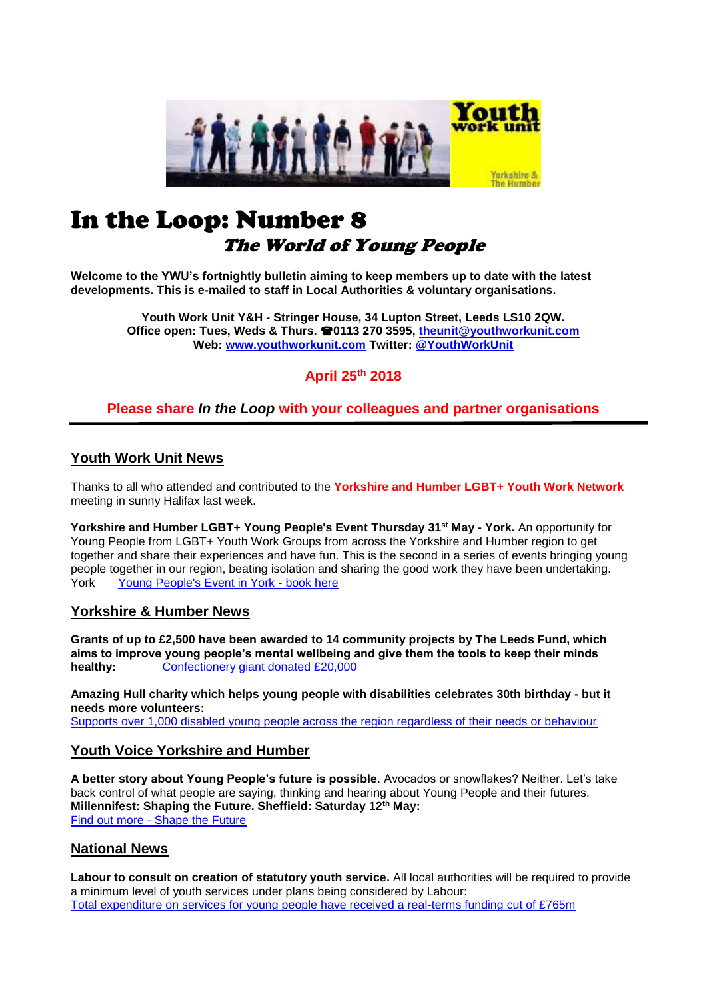

# In the Loop: Number 8 The World of Young People

**Welcome to the YWU's fortnightly bulletin aiming to keep members up to date with the latest developments. This is e-mailed to staff in Local Authorities & voluntary organisations.**

> **Youth Work Unit Y&H - Stringer House, 34 Lupton Street, Leeds LS10 2QW. Office open: Tues, Weds & Thurs. 0113 270 3595, [theunit@youthworkunit.com](mailto:theunit@youthworkunit.com) Web: [www.youthworkunit.com](http://www.youthworkunit.com/) Twitter: [@YouthWorkUnit](http://twitter.com/YouthWorkUnit)**

# **April 25th 2018**

# **Please share** *In the Loop* **with your colleagues and partner organisations**

# **Youth Work Unit News**

Thanks to all who attended and contributed to the **Yorkshire and Humber LGBT+ Youth Work Network** meeting in sunny Halifax last week.

**Yorkshire and Humber LGBT+ Young People's Event Thursday 31st May - York.** An opportunity for Young People from LGBT+ Youth Work Groups from across the Yorkshire and Humber region to get together and share their experiences and have fun. This is the second in a series of events bringing young people together in our region, beating isolation and sharing the good work they have been undertaking. York[Young People's Event in York -](https://www.eventbrite.co.uk/e/yorkshire-and-humber-lgbt-young-peoples-event-tickets-45060832162?aff=es2) book here

# **Yorkshire & Humber News**

**Grants of up to £2,500 have been awarded to 14 community projects by The Leeds Fund, which aims to improve young people's mental wellbeing and give them the tools to keep their minds healthy:** Confectionery giant donated £20,000

**Amazing Hull charity which helps young people with disabilities celebrates 30th birthday - but it needs more volunteers:** [Supports over 1,000 disabled young people across the region regardless of their needs or behaviour](https://www.hulldailymail.co.uk/news/hull-east-yorkshire-news/amazing-hull-charity-helps-disabled-1474489)

# **Youth Voice Yorkshire and Humber**

**A better story about Young People's future is possible.** Avocados or snowflakes? Neither. Let's take back control of what people are saying, thinking and hearing about Young People and their futures. **Millennifest: Shaping the Future. Sheffield: Saturday 12th May:** Find out more - [Shape the Future](http://www.covi.org.uk/millennifest/?utm_source=Common+Vision+mailing+list&utm_campaign=b2774bb7bf-EMAIL_CAMPAIGN_2016_12_08&utm_medium=email&utm_term=0_3fe4b752fc-b2774bb7bf-219029337)

# **National News**

**Labour to consult on creation of statutory youth service.** All local authorities will be required to provide a minimum level of youth services under plans being considered by Labour: [Total expenditure on services for young people have received a real-terms funding cut of £765m](https://www.cypnow.co.uk/cyp/news/2005178/labour-to-consult-on-creation-of-statutory-youth-service)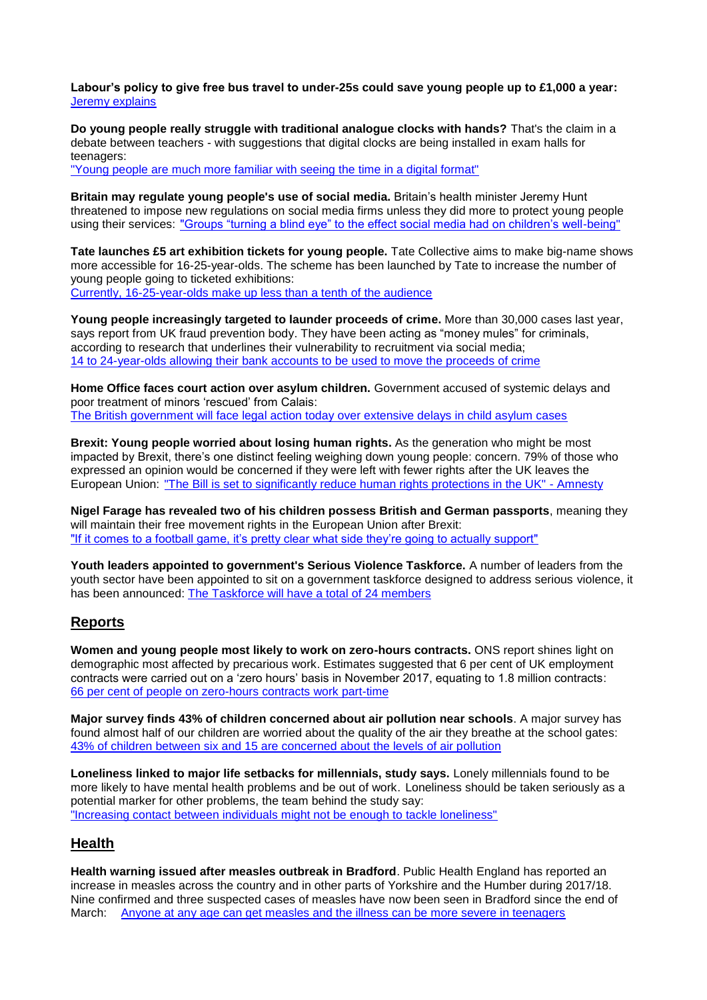**Labour's policy to give free bus travel to under-25s could save young people up to £1,000 a year:** [Jeremy explains](https://t.co/7aUkEd3iiV)

**Do young people really struggle with traditional analogue clocks with hands?** That's the claim in a debate between teachers - with suggestions that digital clocks are being installed in exam halls for teenagers:

["Young people are much more familiar with seeing the time in a digital format"](http://www.bbc.co.uk/news/education-43882847) 

**Britain may regulate young people's use of social media.** Britain's health minister Jeremy Hunt threatened to impose new regulations on social media firms unless they did more to protect young people using their services: ["Groups "turning a blind eye" to the effect social media had on children's well-being"](https://uk.reuters.com/article/britain-socialmedia/britain-may-regulate-young-peoples-use-of-social-media-minister-idUKL8N1RZ09A)

**Tate launches £5 art exhibition tickets for young people.** Tate Collective aims to make big-name shows more accessible for 16-25-year-olds. The scheme has been launched by Tate to increase the number of young people going to ticketed exhibitions: [Currently, 16-25-year-olds make up less than a tenth of the audience](https://www.theguardian.com/artanddesign/2018/apr/17/tate-launches-5-art-exhibition-tickets-for-young-people) 

**Young people increasingly targeted to launder proceeds of crime.** More than 30,000 cases last year, says report from UK fraud prevention body. They have been acting as "money mules" for criminals, according to research that underlines their vulnerability to recruitment via social media; [14 to 24-year-olds allowing their bank accounts to be used to move the proceeds of crime](https://www.ft.com/content/14d0b9c4-425c-11e8-803a-295c97e6fd0b)

**Home Office faces court action over asylum children.** Government accused of systemic delays and poor treatment of minors 'rescued' from Calais: [The British government will face legal action today over extensive delays in child asylum cases](https://www.theguardian.com/world/2018/apr/24/home-office-faces-court-action-over-asylum-children)

**Brexit: Young people worried about losing human rights.** As the generation who might be most impacted by Brexit, there's one distinct feeling weighing down young people: concern. 79% of those who expressed an opinion would be concerned if they were left with fewer rights after the UK leaves the European Union: ["The Bill is set to significantly reduce human rights protections in the UK" -](https://www.amnesty.org.uk/brexit-young-people-worried-about-losing-human-rights) Amnesty

**Nigel Farage has revealed two of his children possess British and German passports**, meaning they will maintain their free movement rights in the European Union after Brexit: ["If it comes to a football game, it's pretty clear what side they're going to actually support"](https://www.independent.co.uk/news/uk/politics/nigel-farage-children-german-passports-brexit-eu-citizens-free-movement-a8311691.html)

**Youth leaders appointed to government's Serious Violence Taskforce.** A number of leaders from the youth sector have been appointed to sit on a government taskforce designed to address serious violence, it has been announced: [The Taskforce will have a total of 24 members](https://www.cypnow.co.uk/cyp/news/2005224/youth-leaders-appointed-to-governments-serious-violence-taskforce)

# **Reports**

**Women and young people most likely to work on zero-hours contracts.** ONS report shines light on demographic most affected by precarious work. Estimates suggested that 6 per cent of UK employment contracts were carried out on a 'zero hours' basis in November 2017, equating to 1.8 million contracts: [66 per cent of people on zero-hours contracts work part-time](https://www.peoplemanagement.co.uk/news/articles/women-young-people-on-zero-hours-contracts)

**Major survey finds 43% of children concerned about air pollution near schools**. A major survey has found almost half of our children are worried about the quality of the air they breathe at the school gates: [43% of children between six and 15 are concerned about the levels of air pollution](http://www.itv.com/news/meridian/2018-04-23/major-survey-finds-43-of-children-concerned-about-air-pollution-near-schools/) 

**Loneliness linked to major life setbacks for millennials, study says.** Lonely millennials found to be more likely to have mental health problems and be out of work. Loneliness should be taken seriously as a potential marker for other problems, the team behind the study say: ["Increasing contact between individuals might not be enough to tackle loneliness"](https://www.theguardian.com/science/2018/apr/24/loneliness-linked-to-major-life-setbacks-for-millennials-study-says) 

### **Health**

**Health warning issued after measles outbreak in Bradford**. Public Health England has reported an increase in measles across the country and in other parts of Yorkshire and the Humber during 2017/18. Nine confirmed and three suspected cases of measles have now been seen in Bradford since the end of March: [Anyone at any age can get measles and the illness can be more severe in teenagers](http://www.itv.com/news/calendar/2018-04-18/health-warning-issued-after-measles-outbreak-in-bradford/)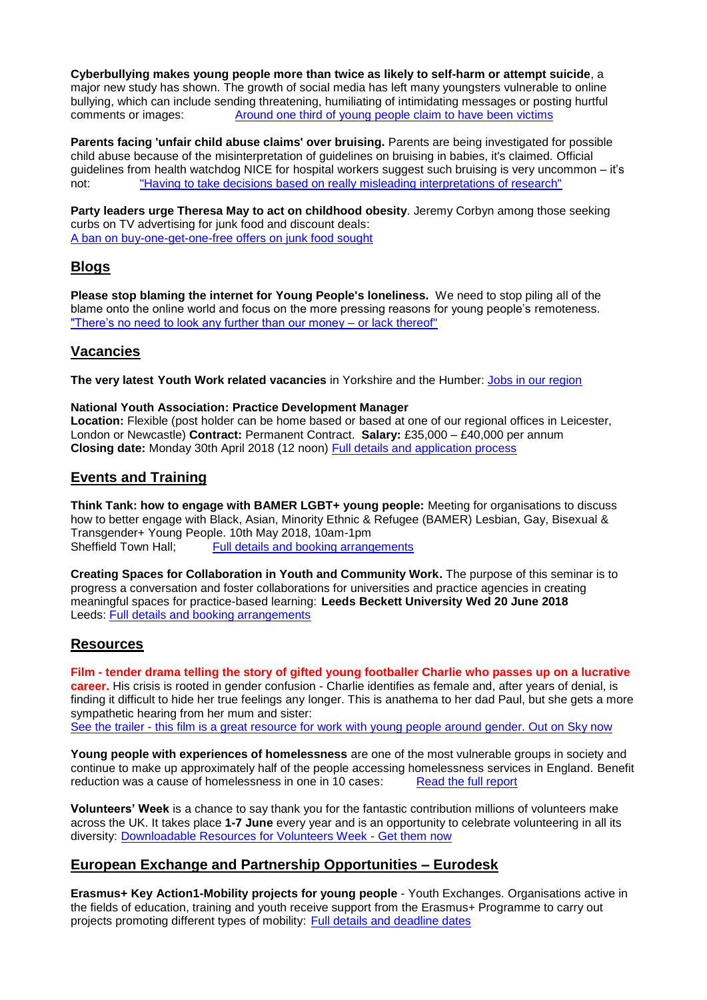**Cyberbullying makes young people more than twice as likely to self-harm or attempt suicide**, a major new study has shown. The growth of social media has left many youngsters vulnerable to online bullying, which can include sending threatening, humiliating of intimidating messages or posting hurtful comments or images: [Around one third of young people claim to have been victims](https://www.telegraph.co.uk/science/2018/04/22/cyberbullying-makes-young-people-twice-likely-self-harm-attempt/)

**Parents facing 'unfair child abuse claims' over bruising.** Parents are being investigated for possible child abuse because of the misinterpretation of guidelines on bruising in babies, it's claimed. Official guidelines from health watchdog NICE for hospital workers suggest such bruising is very uncommon – it's not: ["Having to take decisions based on really misleading interpretations of research"](http://www.bbc.co.uk/news/health-43865226)

**Party leaders urge Theresa May to act on childhood obesity**. Jeremy Corbyn among those seeking curbs on TV advertising for junk food and discount deals: [A ban on buy-one-get-one-free offers on junk food sought](https://www.theguardian.com/society/2018/apr/25/party-leaders-urge-theresa-may-to-act-on-childhood-obesity)

# **Blogs**

**Please stop blaming the internet for Young People's loneliness.** We need to stop piling all of the blame onto the online world and focus on the more pressing reasons for young people's remoteness. ["There's no need to look any further than our money –](https://www.huffingtonpost.co.uk/entry/please-stop-blaming-the-internet-for-young-peoples_uk_5ad73f43e4b0d6cc69cc7321) or lack thereof"

# **Vacancies**

**The very latest Youth Work related vacancies** in Yorkshire and the Humber: [Jobs in our region](https://www.indeed.co.uk/Youth-Worker-jobs-in-Yorkshire-and-Humberside)

#### **National Youth Association: Practice Development Manager**

**Location:** Flexible (post holder can be home based or based at one of our regional offices in Leicester, London or Newcastle) **Contract:** Permanent Contract. **Salary:** £35,000 – £40,000 per annum **Closing date:** Monday 30th April 2018 (12 noon) [Full details and application process](http://www.nya.org.uk/about-us/jobs/)

# **Events and Training**

**Think Tank: how to engage with BAMER LGBT+ young people:** Meeting for organisations to discuss how to better engage with Black, Asian, Minority Ethnic & Refugee (BAMER) Lesbian, Gay, Bisexual & Transgender+ Young People. 10th May 2018, 10am-1pm Sheffield Town Hall: [Full details and booking arrangements](https://www.eventbrite.co.uk/e/bamer-lgbt-think-tank-tickets-44838159141)

**Creating Spaces for Collaboration in Youth and Community Work.** The purpose of this seminar is to progress a conversation and foster collaborations for universities and practice agencies in creating meaningful spaces for practice-based learning: **Leeds Beckett University Wed 20 June 2018** Leeds: [Full details and booking arrangements](https://www.eventbrite.co.uk/e/creating-spaces-for-collaboration-in-youth-and-community-work-leeds-tickets-45348648027?aff=eac2)

### **Resources**

**Film - tender drama telling the story of gifted young footballer Charlie who passes up on a lucrative career.** His crisis is rooted in gender confusion - Charlie identifies as female and, after years of denial, is finding it difficult to hide her true feelings any longer. This is anathema to her dad Paul, but she gets a more sympathetic hearing from her mum and sister: See the trailer - [this film is a great resource for work with young people around gender. Out on Sky now](http://www.sky.com/tv/movie/just-charlie-2017/video/just-charlie-trailer)

**Young people with experiences of homelessness** are one of the most vulnerable groups in society and continue to make up approximately half of the people accessing homelessness services in England. Benefit reduction was a cause of homelessness in one in 10 cases: [Read the full report](https://www.homeless.org.uk/sites/default/files/site-attachments/Young%20and%20Homeless%202018.pdf)

**Volunteers' Week** is a chance to say thank you for the fantastic contribution millions of volunteers make across the UK. It takes place **1-7 June** every year and is an opportunity to celebrate volunteering in all its diversity: [Downloadable Resources for Volunteers Week -](https://volunteersweek.org/?_cldee=cGF0cmlja2FtYnJvc2VAeW91dGh3b3JrdW5pdC5jb20%3D&recipientid=contact-7d16ed59593be5118133c4346bad20a4-0a6a124155444cefba003f657753d5dd) Get them now

### **European Exchange and Partnership Opportunities – Eurodesk**

**Erasmus+ Key Action1-Mobility projects for young people** - Youth Exchanges. Organisations active in the fields of education, training and youth receive support from the Erasmus+ Programme to carry out projects promoting different types of mobility: [Full details and deadline dates](https://programmes.eurodesk.eu/grants#64622)